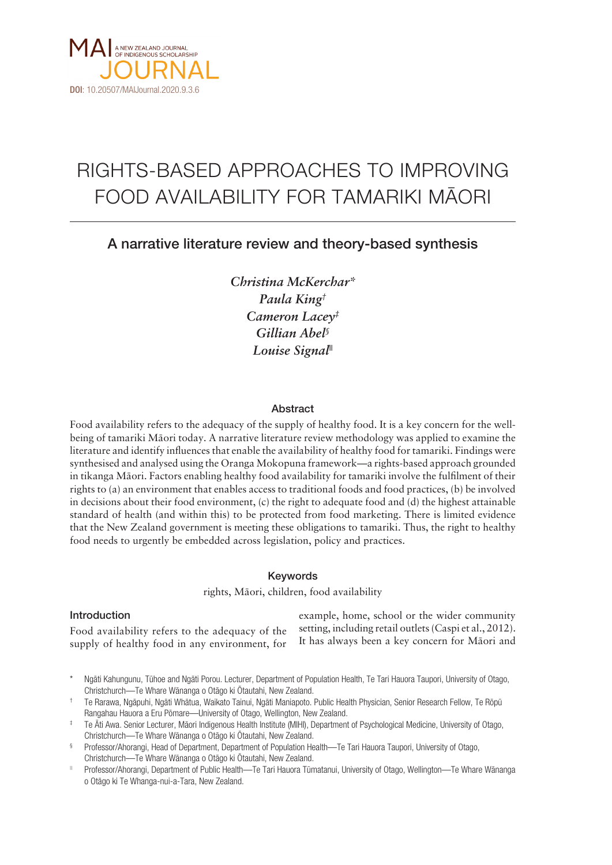

# RIGHTS-BASED APPROACHES TO IMPROVING FOOD AVAILABILITY FOR TAMARIKI MÄORI

# A narrative literature review and theory-based synthesis

*Christina McKerchar\* Paula King† Cameron Lacey‡ Gillian Abel§ Louise Signal||*

# Abstract

Food availability refers to the adequacy of the supply of healthy food. It is a key concern for the wellbeing of tamariki Mäori today. A narrative literature review methodology was applied to examine the literature and identify influences that enable the availability of healthy food for tamariki. Findings were synthesised and analysed using the Oranga Mokopuna framework—a rights-based approach grounded in tikanga Mäori. Factors enabling healthy food availability for tamariki involve the fulfilment of their rights to (a) an environment that enables access to traditional foods and food practices, (b) be involved in decisions about their food environment, (c) the right to adequate food and (d) the highest attainable standard of health (and within this) to be protected from food marketing. There is limited evidence that the New Zealand government is meeting these obligations to tamariki. Thus, the right to healthy food needs to urgently be embedded across legislation, policy and practices.

#### Keywords

rights, Mäori, children, food availability

#### Introduction

Food availability refers to the adequacy of the supply of healthy food in any environment, for

example, home, school or the wider community setting, including retail outlets (Caspi et al., 2012). It has always been a key concern for Mäori and

- Ngāti Kahungunu, Tühoe and Ngāti Porou. Lecturer, Department of Population Health, Te Tari Hauora Taupori, University of Otago, Christchurch—Te Whare Wänanga o Otägo ki Ötautahi, New Zealand.
- † Te Rarawa, Ngäpuhi, Ngäti Whätua, Waikato Tainui, Ngäti Maniapoto. Public Health Physician, Senior Research Fellow, Te Röpü Rangahau Hauora a Eru Pömare—University of Otago, Wellington, New Zealand.

- § Professor/Ahorangi, Head of Department, Department of Population Health—Te Tari Hauora Taupori, University of Otago, Christchurch—Te Whare Wänanga o Otägo ki Ötautahi, New Zealand.
- || Professor/Ahorangi, Department of Public Health—Te Tari Hauora Tümatanui, University of Otago, Wellington—Te Whare Wänanga o Otägo ki Te Whanga-nui-a-Tara, New Zealand.

<sup>‡</sup> Te Äti Awa. Senior Lecturer, Mäori Indigenous Health Institute (MIHI), Department of Psychological Medicine, University of Otago, Christchurch—Te Whare Wänanga o Otägo ki Ötautahi, New Zealand.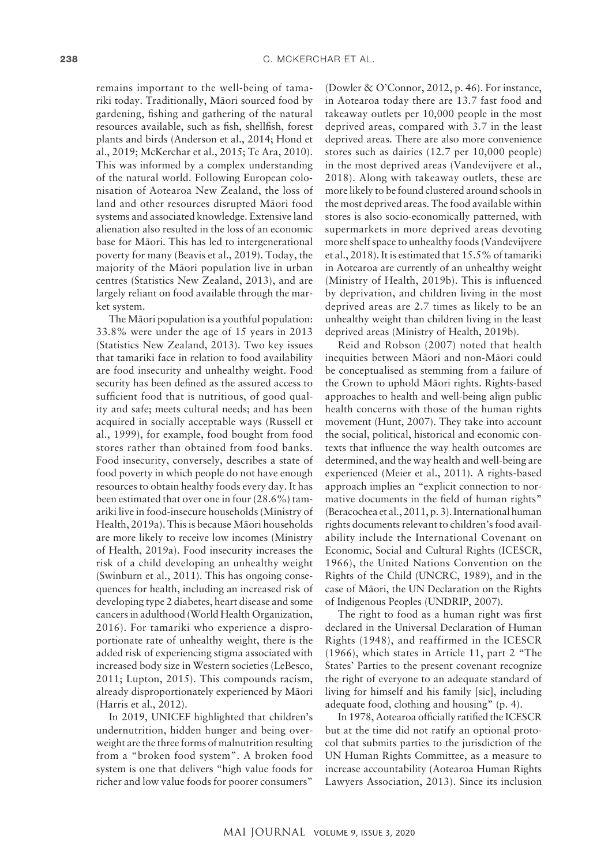remains important to the well-being of tamariki today. Traditionally, Mäori sourced food by gardening, fishing and gathering of the natural resources available, such as fish, shellfish, forest plants and birds (Anderson et al., 2014; Hond et al., 2019; McKerchar et al., 2015; Te Ara, 2010). This was informed by a complex understanding of the natural world. Following European colonisation of Aotearoa New Zealand, the loss of land and other resources disrupted Mäori food systems and associated knowledge. Extensive land alienation also resulted in the loss of an economic base for Mäori. This has led to intergenerational poverty for many (Beavis et al., 2019). Today, the majority of the Mäori population live in urban centres (Statistics New Zealand, 2013), and are largely reliant on food available through the market system.

The Mäori population is a youthful population: 33.8% were under the age of 15 years in 2013 (Statistics New Zealand, 2013). Two key issues that tamariki face in relation to food availability are food insecurity and unhealthy weight. Food security has been defined as the assured access to sufficient food that is nutritious, of good quality and safe; meets cultural needs; and has been acquired in socially acceptable ways (Russell et al., 1999), for example, food bought from food stores rather than obtained from food banks. Food insecurity, conversely, describes a state of food poverty in which people do not have enough resources to obtain healthy foods every day. It has been estimated that over one in four (28.6%) tamariki live in food-insecure households (Ministry of Health, 2019a). This is because Mäori households are more likely to receive low incomes (Ministry of Health, 2019a). Food insecurity increases the risk of a child developing an unhealthy weight (Swinburn et al., 2011). This has ongoing consequences for health, including an increased risk of developing type 2 diabetes, heart disease and some cancers in adulthood (World Health Organization, 2016). For tamariki who experience a disproportionate rate of unhealthy weight, there is the added risk of experiencing stigma associated with increased body size in Western societies (LeBesco, 2011; Lupton, 2015). This compounds racism, already disproportionately experienced by Mäori (Harris et al., 2012).

In 2019, UNICEF highlighted that children's undernutrition, hidden hunger and being overweight are the three forms of malnutrition resulting from a "broken food system". A broken food system is one that delivers "high value foods for richer and low value foods for poorer consumers"

(Dowler & O'Connor, 2012, p. 46). For instance, in Aotearoa today there are 13.7 fast food and takeaway outlets per 10,000 people in the most deprived areas, compared with 3.7 in the least deprived areas. There are also more convenience stores such as dairies (12.7 per 10,000 people) in the most deprived areas (Vandevijvere et al., 2018). Along with takeaway outlets, these are more likely to be found clustered around schools in the most deprived areas. The food available within stores is also socio-economically patterned, with supermarkets in more deprived areas devoting more shelf space to unhealthy foods (Vandevijvere et al., 2018). It is estimated that 15.5% of tamariki in Aotearoa are currently of an unhealthy weight (Ministry of Health, 2019b). This is influenced by deprivation, and children living in the most deprived areas are 2.7 times as likely to be an unhealthy weight than children living in the least deprived areas (Ministry of Health, 2019b).

Reid and Robson (2007) noted that health inequities between Mäori and non-Mäori could be conceptualised as stemming from a failure of the Crown to uphold Mäori rights. Rights-based approaches to health and well-being align public health concerns with those of the human rights movement (Hunt, 2007). They take into account the social, political, historical and economic contexts that influence the way health outcomes are determined, and the way health and well-being are experienced (Meier et al., 2011). A rights-based approach implies an "explicit connection to normative documents in the field of human rights" (Beracochea et al., 2011, p. 3). International human rights documents relevant to children's food availability include the International Covenant on Economic, Social and Cultural Rights (ICESCR, 1966), the United Nations Convention on the Rights of the Child (UNCRC, 1989), and in the case of Mäori, the UN Declaration on the Rights of Indigenous Peoples (UNDRIP, 2007).

The right to food as a human right was first declared in the Universal Declaration of Human Rights (1948), and reaffirmed in the ICESCR (1966), which states in Article 11, part 2 "The States' Parties to the present covenant recognize the right of everyone to an adequate standard of living for himself and his family [sic], including adequate food, clothing and housing" (p. 4).

In 1978, Aotearoa officially ratified the ICESCR but at the time did not ratify an optional protocol that submits parties to the jurisdiction of the UN Human Rights Committee, as a measure to increase accountability (Aotearoa Human Rights Lawyers Association, 2013). Since its inclusion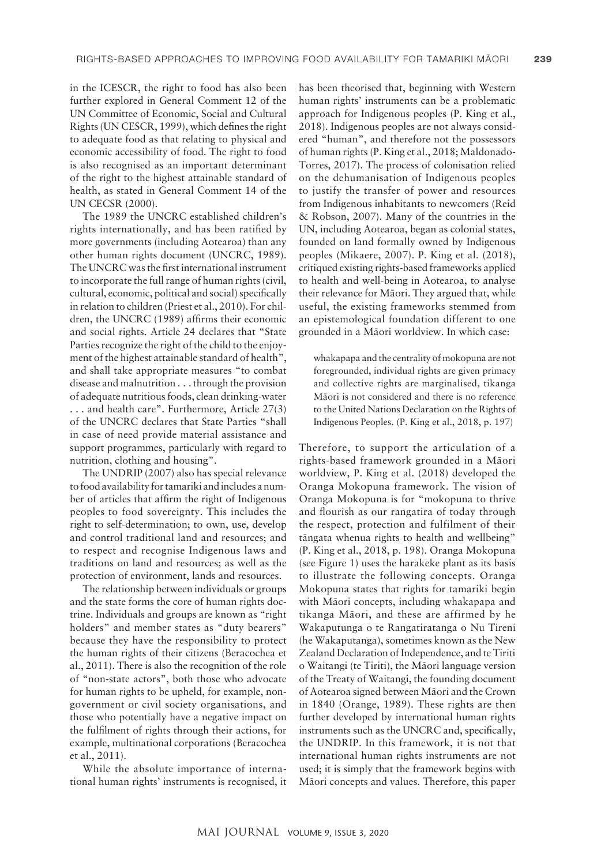in the ICESCR, the right to food has also been further explored in General Comment 12 of the UN Committee of Economic, Social and Cultural Rights (UN CESCR, 1999), which defines the right to adequate food as that relating to physical and economic accessibility of food. The right to food is also recognised as an important determinant of the right to the highest attainable standard of health, as stated in General Comment 14 of the UN CECSR (2000).

The 1989 the UNCRC established children's rights internationally, and has been ratified by more governments (including Aotearoa) than any other human rights document (UNCRC, 1989). The UNCRC was the first international instrument to incorporate the full range of human rights (civil, cultural, economic, political and social) specifically in relation to children (Priest et al., 2010). For children, the UNCRC (1989) affirms their economic and social rights. Article 24 declares that "State Parties recognize the right of the child to the enjoyment of the highest attainable standard of health", and shall take appropriate measures "to combat disease and malnutrition . . . through the provision of adequate nutritious foods, clean drinking-water . . . and health care". Furthermore, Article 27(3) of the UNCRC declares that State Parties "shall in case of need provide material assistance and support programmes, particularly with regard to nutrition, clothing and housing".

The UNDRIP (2007) also has special relevance to food availability for tamariki and includes a number of articles that affirm the right of Indigenous peoples to food sovereignty. This includes the right to self-determination; to own, use, develop and control traditional land and resources; and to respect and recognise Indigenous laws and traditions on land and resources; as well as the protection of environment, lands and resources.

The relationship between individuals or groups and the state forms the core of human rights doctrine. Individuals and groups are known as "right holders" and member states as "duty bearers" because they have the responsibility to protect the human rights of their citizens (Beracochea et al., 2011). There is also the recognition of the role of "non-state actors", both those who advocate for human rights to be upheld, for example, nongovernment or civil society organisations, and those who potentially have a negative impact on the fulfilment of rights through their actions, for example, multinational corporations (Beracochea et al., 2011).

While the absolute importance of international human rights' instruments is recognised, it has been theorised that, beginning with Western human rights' instruments can be a problematic approach for Indigenous peoples (P. King et al., 2018). Indigenous peoples are not always considered "human", and therefore not the possessors of human rights (P. King et al., 2018; Maldonado-Torres, 2017). The process of colonisation relied on the dehumanisation of Indigenous peoples to justify the transfer of power and resources from Indigenous inhabitants to newcomers (Reid & Robson, 2007). Many of the countries in the UN, including Aotearoa, began as colonial states, founded on land formally owned by Indigenous peoples (Mikaere, 2007). P. King et al. (2018), critiqued existing rights-based frameworks applied to health and well-being in Aotearoa, to analyse their relevance for Mäori. They argued that, while useful, the existing frameworks stemmed from an epistemological foundation different to one grounded in a Mäori worldview. In which case:

whakapapa and the centrality of mokopuna are not foregrounded, individual rights are given primacy and collective rights are marginalised, tikanga Mäori is not considered and there is no reference to the United Nations Declaration on the Rights of Indigenous Peoples. (P. King et al., 2018, p. 197)

Therefore, to support the articulation of a rights-based framework grounded in a Mäori worldview, P. King et al. (2018) developed the Oranga Mokopuna framework. The vision of Oranga Mokopuna is for "mokopuna to thrive and flourish as our rangatira of today through the respect, protection and fulfilment of their tängata whenua rights to health and wellbeing" (P. King et al., 2018, p. 198). Oranga Mokopuna (see Figure 1) uses the harakeke plant as its basis to illustrate the following concepts. Oranga Mokopuna states that rights for tamariki begin with Mäori concepts, including whakapapa and tikanga Mäori, and these are affirmed by he Wakaputunga o te Rangatiratanga o Nu Tireni (he Wakaputanga), sometimes known as the New Zealand Declaration of Independence, and te Tiriti o Waitangi (te Tiriti), the Mäori language version of the Treaty of Waitangi, the founding document of Aotearoa signed between Mäori and the Crown in 1840 (Orange, 1989). These rights are then further developed by international human rights instruments such as the UNCRC and, specifically, the UNDRIP. In this framework, it is not that international human rights instruments are not used; it is simply that the framework begins with Mäori concepts and values. Therefore, this paper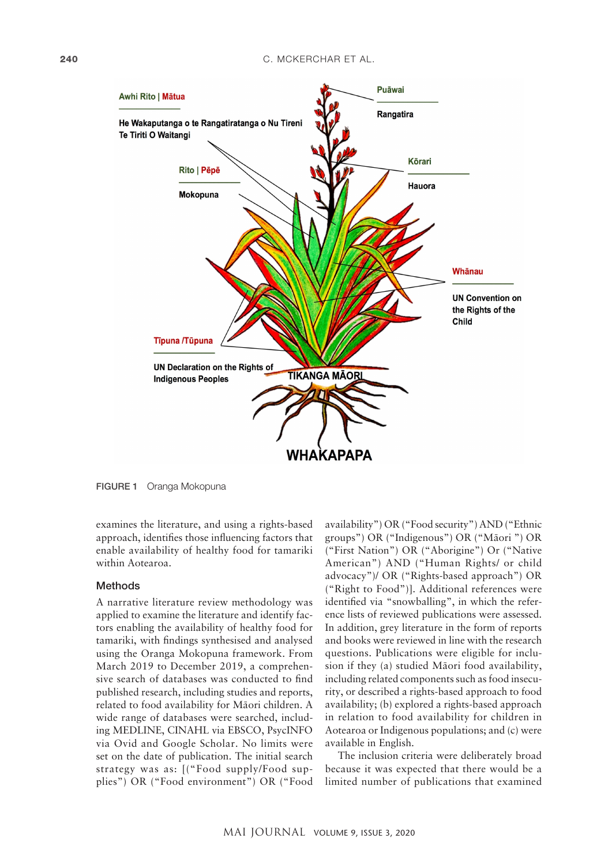

FIGURE 1 Oranga Mokopuna

examines the literature, and using a rights-based approach, identifies those influencing factors that enable availability of healthy food for tamariki within Aotearoa.

#### Methods

A narrative literature review methodology was applied to examine the literature and identify factors enabling the availability of healthy food for tamariki, with findings synthesised and analysed using the Oranga Mokopuna framework. From March 2019 to December 2019, a comprehensive search of databases was conducted to find published research, including studies and reports, related to food availability for Mäori children. A wide range of databases were searched, including MEDLINE, CINAHL via EBSCO, PsycINFO via Ovid and Google Scholar. No limits were set on the date of publication. The initial search strategy was as: [("Food supply/Food supplies") OR ("Food environment") OR ("Food

availability") OR ("Food security") AND ("Ethnic groups") OR ("Indigenous") OR ("Mäori ") OR ("First Nation") OR ("Aborigine") Or ("Native American") AND ("Human Rights/ or child advocacy")/ OR ("Rights-based approach") OR ("Right to Food")]. Additional references were identified via "snowballing", in which the reference lists of reviewed publications were assessed. In addition, grey literature in the form of reports and books were reviewed in line with the research questions. Publications were eligible for inclusion if they (a) studied Mäori food availability, including related components such as food insecurity, or described a rights-based approach to food availability; (b) explored a rights-based approach in relation to food availability for children in Aotearoa or Indigenous populations; and (c) were available in English.

The inclusion criteria were deliberately broad because it was expected that there would be a limited number of publications that examined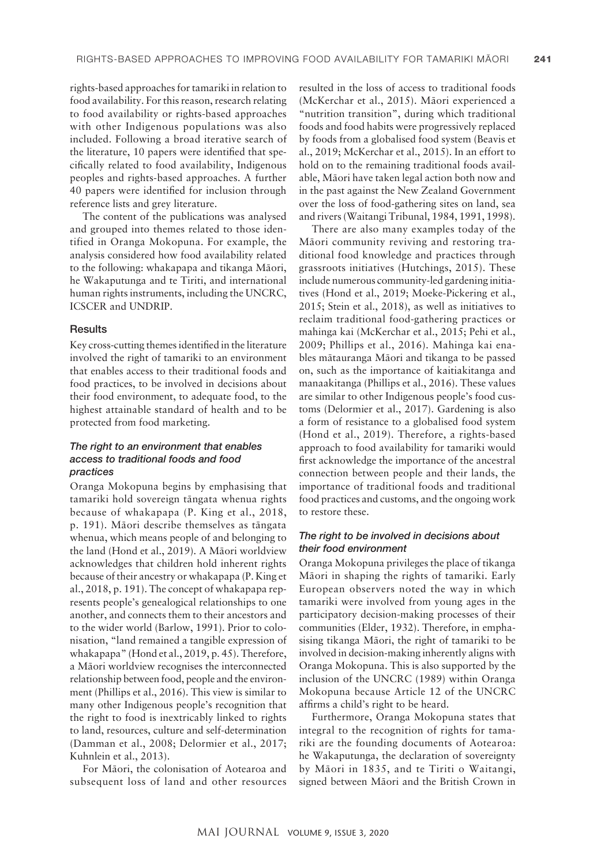rights-based approaches for tamariki in relation to food availability. For this reason, research relating to food availability or rights-based approaches with other Indigenous populations was also included. Following a broad iterative search of the literature, 10 papers were identified that specifically related to food availability, Indigenous peoples and rights-based approaches. A further 40 papers were identified for inclusion through reference lists and grey literature.

The content of the publications was analysed and grouped into themes related to those identified in Oranga Mokopuna. For example, the analysis considered how food availability related to the following: whakapapa and tikanga Mäori, he Wakaputunga and te Tiriti, and international human rights instruments, including the UNCRC, ICSCER and UNDRIP.

#### **Results**

Key cross-cutting themes identified in the literature involved the right of tamariki to an environment that enables access to their traditional foods and food practices, to be involved in decisions about their food environment, to adequate food, to the highest attainable standard of health and to be protected from food marketing.

# *The right to an environment that enables access to traditional foods and food practices*

Oranga Mokopuna begins by emphasising that tamariki hold sovereign tängata whenua rights because of whakapapa (P. King et al., 2018, p. 191). Mäori describe themselves as tängata whenua, which means people of and belonging to the land (Hond et al., 2019). A Mäori worldview acknowledges that children hold inherent rights because of their ancestry or whakapapa (P. King et al., 2018, p. 191). The concept of whakapapa represents people's genealogical relationships to one another, and connects them to their ancestors and to the wider world (Barlow, 1991). Prior to colonisation, "land remained a tangible expression of whakapapa" (Hond et al., 2019, p. 45). Therefore, a Mäori worldview recognises the interconnected relationship between food, people and the environment (Phillips et al., 2016). This view is similar to many other Indigenous people's recognition that the right to food is inextricably linked to rights to land, resources, culture and self-determination (Damman et al., 2008; Delormier et al., 2017; Kuhnlein et al., 2013).

For Mäori, the colonisation of Aotearoa and subsequent loss of land and other resources

resulted in the loss of access to traditional foods (McKerchar et al., 2015). Mäori experienced a "nutrition transition", during which traditional foods and food habits were progressively replaced by foods from a globalised food system (Beavis et al., 2019; McKerchar et al., 2015). In an effort to hold on to the remaining traditional foods available, Mäori have taken legal action both now and in the past against the New Zealand Government over the loss of food-gathering sites on land, sea and rivers (Waitangi Tribunal, 1984, 1991, 1998).

There are also many examples today of the Mäori community reviving and restoring traditional food knowledge and practices through grassroots initiatives (Hutchings, 2015). These include numerous community-led gardening initiatives (Hond et al., 2019; Moeke-Pickering et al., 2015; Stein et al., 2018), as well as initiatives to reclaim traditional food-gathering practices or mahinga kai (McKerchar et al., 2015; Pehi et al., 2009; Phillips et al., 2016). Mahinga kai enables mätauranga Mäori and tikanga to be passed on, such as the importance of kaitiakitanga and manaakitanga (Phillips et al., 2016). These values are similar to other Indigenous people's food customs (Delormier et al., 2017). Gardening is also a form of resistance to a globalised food system (Hond et al., 2019). Therefore, a rights-based approach to food availability for tamariki would first acknowledge the importance of the ancestral connection between people and their lands, the importance of traditional foods and traditional food practices and customs, and the ongoing work to restore these.

#### *The right to be involved in decisions about their food environment*

Oranga Mokopuna privileges the place of tikanga Mäori in shaping the rights of tamariki. Early European observers noted the way in which tamariki were involved from young ages in the participatory decision-making processes of their communities (Elder, 1932). Therefore, in emphasising tikanga Mäori, the right of tamariki to be involved in decision-making inherently aligns with Oranga Mokopuna. This is also supported by the inclusion of the UNCRC (1989) within Oranga Mokopuna because Article 12 of the UNCRC affirms a child's right to be heard.

Furthermore, Oranga Mokopuna states that integral to the recognition of rights for tamariki are the founding documents of Aotearoa: he Wakaputunga, the declaration of sovereignty by Mäori in 1835, and te Tiriti o Waitangi, signed between Mäori and the British Crown in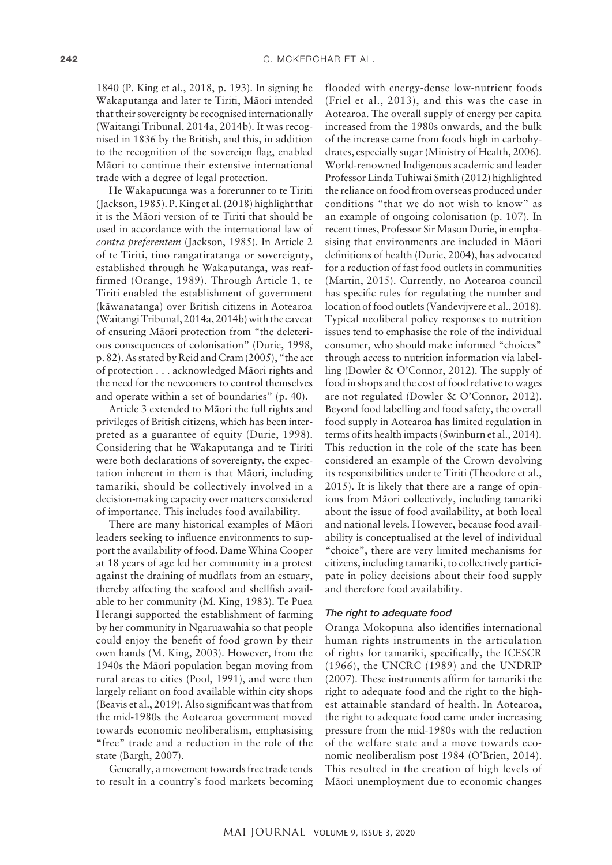1840 (P. King et al., 2018, p. 193). In signing he Wakaputanga and later te Tiriti, Mäori intended that their sovereignty be recognised internationally (Waitangi Tribunal, 2014a, 2014b). It was recognised in 1836 by the British, and this, in addition to the recognition of the sovereign flag, enabled Mäori to continue their extensive international trade with a degree of legal protection.

He Wakaputunga was a forerunner to te Tiriti (Jackson, 1985). P. King et al. (2018) highlight that it is the Mäori version of te Tiriti that should be used in accordance with the international law of *contra preferentem* (Jackson, 1985). In Article 2 of te Tiriti, tino rangatiratanga or sovereignty, established through he Wakaputanga, was reaffirmed (Orange, 1989). Through Article 1, te Tiriti enabled the establishment of government (käwanatanga) over British citizens in Aotearoa (Waitangi Tribunal, 2014a, 2014b) with the caveat of ensuring Mäori protection from "the deleterious consequences of colonisation" (Durie, 1998, p. 82). As stated by Reid and Cram (2005), "the act of protection . . . acknowledged Mäori rights and the need for the newcomers to control themselves and operate within a set of boundaries" (p. 40).

Article 3 extended to Mäori the full rights and privileges of British citizens, which has been interpreted as a guarantee of equity (Durie, 1998). Considering that he Wakaputanga and te Tiriti were both declarations of sovereignty, the expectation inherent in them is that Mäori, including tamariki, should be collectively involved in a decision-making capacity over matters considered of importance. This includes food availability.

There are many historical examples of Mäori leaders seeking to influence environments to support the availability of food. Dame Whina Cooper at 18 years of age led her community in a protest against the draining of mudflats from an estuary, thereby affecting the seafood and shellfish available to her community (M. King, 1983). Te Puea Herangi supported the establishment of farming by her community in Ngaruawahia so that people could enjoy the benefit of food grown by their own hands (M. King, 2003). However, from the 1940s the Mäori population began moving from rural areas to cities (Pool, 1991), and were then largely reliant on food available within city shops (Beavis et al., 2019). Also significant was that from the mid-1980s the Aotearoa government moved towards economic neoliberalism, emphasising "free" trade and a reduction in the role of the state (Bargh, 2007).

Generally, a movement towards free trade tends to result in a country's food markets becoming

flooded with energy-dense low-nutrient foods (Friel et al., 2013), and this was the case in Aotearoa. The overall supply of energy per capita increased from the 1980s onwards, and the bulk of the increase came from foods high in carbohydrates, especially sugar (Ministry of Health, 2006). World-renowned Indigenous academic and leader Professor Linda Tuhiwai Smith (2012) highlighted the reliance on food from overseas produced under conditions "that we do not wish to know" as an example of ongoing colonisation (p. 107). In recent times, Professor Sir Mason Durie, in emphasising that environments are included in Mäori definitions of health (Durie, 2004), has advocated for a reduction of fast food outlets in communities (Martin, 2015). Currently, no Aotearoa council has specific rules for regulating the number and location of food outlets (Vandevijvere et al., 2018). Typical neoliberal policy responses to nutrition issues tend to emphasise the role of the individual consumer, who should make informed "choices" through access to nutrition information via labelling (Dowler & O'Connor, 2012). The supply of food in shops and the cost of food relative to wages are not regulated (Dowler & O'Connor, 2012). Beyond food labelling and food safety, the overall food supply in Aotearoa has limited regulation in terms of its health impacts (Swinburn et al., 2014). This reduction in the role of the state has been considered an example of the Crown devolving its responsibilities under te Tiriti (Theodore et al., 2015). It is likely that there are a range of opinions from Mäori collectively, including tamariki about the issue of food availability, at both local and national levels. However, because food availability is conceptualised at the level of individual "choice", there are very limited mechanisms for citizens, including tamariki, to collectively participate in policy decisions about their food supply and therefore food availability.

#### *The right to adequate food*

Oranga Mokopuna also identifies international human rights instruments in the articulation of rights for tamariki, specifically, the ICESCR (1966), the UNCRC (1989) and the UNDRIP (2007). These instruments affirm for tamariki the right to adequate food and the right to the highest attainable standard of health. In Aotearoa, the right to adequate food came under increasing pressure from the mid-1980s with the reduction of the welfare state and a move towards economic neoliberalism post 1984 (O'Brien, 2014). This resulted in the creation of high levels of Mäori unemployment due to economic changes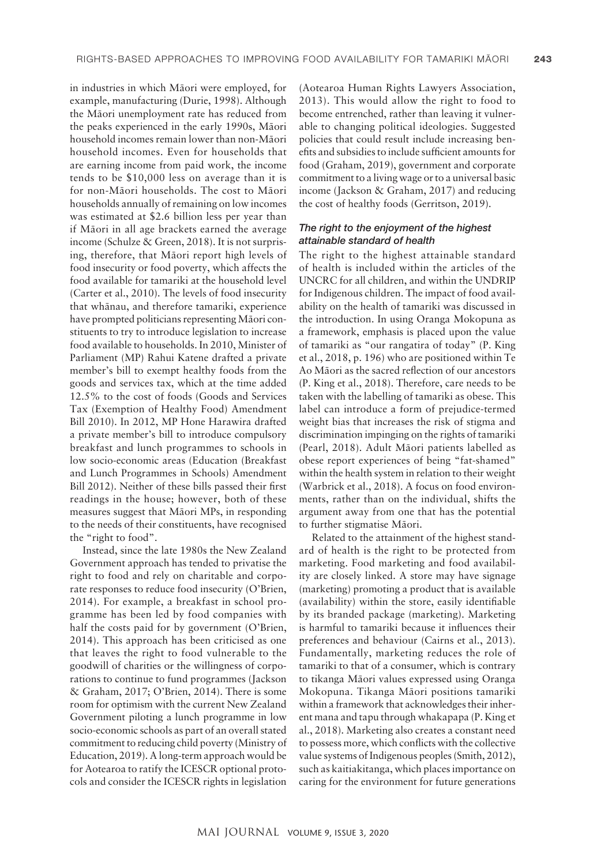in industries in which Mäori were employed, for example, manufacturing (Durie, 1998). Although the Mäori unemployment rate has reduced from the peaks experienced in the early 1990s, Mäori household incomes remain lower than non-Mäori household incomes. Even for households that are earning income from paid work, the income tends to be \$10,000 less on average than it is for non-Mäori households. The cost to Mäori households annually of remaining on low incomes was estimated at \$2.6 billion less per year than if Mäori in all age brackets earned the average income (Schulze & Green, 2018). It is not surprising, therefore, that Mäori report high levels of food insecurity or food poverty, which affects the food available for tamariki at the household level (Carter et al., 2010). The levels of food insecurity that whänau, and therefore tamariki, experience have prompted politicians representing Mäori constituents to try to introduce legislation to increase food available to households. In 2010, Minister of Parliament (MP) Rahui Katene drafted a private member's bill to exempt healthy foods from the goods and services tax, which at the time added 12.5% to the cost of foods (Goods and Services Tax (Exemption of Healthy Food) Amendment Bill 2010). In 2012, MP Hone Harawira drafted a private member's bill to introduce compulsory breakfast and lunch programmes to schools in low socio-economic areas (Education (Breakfast and Lunch Programmes in Schools) Amendment Bill 2012). Neither of these bills passed their first readings in the house; however, both of these measures suggest that Mäori MPs, in responding to the needs of their constituents, have recognised the "right to food".

Instead, since the late 1980s the New Zealand Government approach has tended to privatise the right to food and rely on charitable and corporate responses to reduce food insecurity (O'Brien, 2014). For example, a breakfast in school programme has been led by food companies with half the costs paid for by government (O'Brien, 2014). This approach has been criticised as one that leaves the right to food vulnerable to the goodwill of charities or the willingness of corporations to continue to fund programmes (Jackson & Graham, 2017; O'Brien, 2014). There is some room for optimism with the current New Zealand Government piloting a lunch programme in low socio-economic schools as part of an overall stated commitment to reducing child poverty (Ministry of Education, 2019). A long-term approach would be for Aotearoa to ratify the ICESCR optional protocols and consider the ICESCR rights in legislation

(Aotearoa Human Rights Lawyers Association, 2013). This would allow the right to food to become entrenched, rather than leaving it vulnerable to changing political ideologies. Suggested policies that could result include increasing benefits and subsidies to include sufficient amounts for food (Graham, 2019), government and corporate commitment to a living wage or to a universal basic income (Jackson & Graham, 2017) and reducing the cost of healthy foods (Gerritson, 2019).

## *The right to the enjoyment of the highest attainable standard of health*

The right to the highest attainable standard of health is included within the articles of the UNCRC for all children, and within the UNDRIP for Indigenous children. The impact of food availability on the health of tamariki was discussed in the introduction. In using Oranga Mokopuna as a framework, emphasis is placed upon the value of tamariki as "our rangatira of today" (P. King et al., 2018, p. 196) who are positioned within Te Ao Mäori as the sacred reflection of our ancestors (P. King et al., 2018). Therefore, care needs to be taken with the labelling of tamariki as obese. This label can introduce a form of prejudice-termed weight bias that increases the risk of stigma and discrimination impinging on the rights of tamariki (Pearl, 2018). Adult Mäori patients labelled as obese report experiences of being "fat-shamed" within the health system in relation to their weight (Warbrick et al., 2018). A focus on food environments, rather than on the individual, shifts the argument away from one that has the potential to further stigmatise Mäori.

Related to the attainment of the highest standard of health is the right to be protected from marketing. Food marketing and food availability are closely linked. A store may have signage (marketing) promoting a product that is available (availability) within the store, easily identifiable by its branded package (marketing). Marketing is harmful to tamariki because it influences their preferences and behaviour (Cairns et al., 2013). Fundamentally, marketing reduces the role of tamariki to that of a consumer, which is contrary to tikanga Mäori values expressed using Oranga Mokopuna. Tikanga Mäori positions tamariki within a framework that acknowledges their inherent mana and tapu through whakapapa (P. King et al., 2018). Marketing also creates a constant need to possess more, which conflicts with the collective value systems of Indigenous peoples (Smith, 2012), such as kaitiakitanga, which places importance on caring for the environment for future generations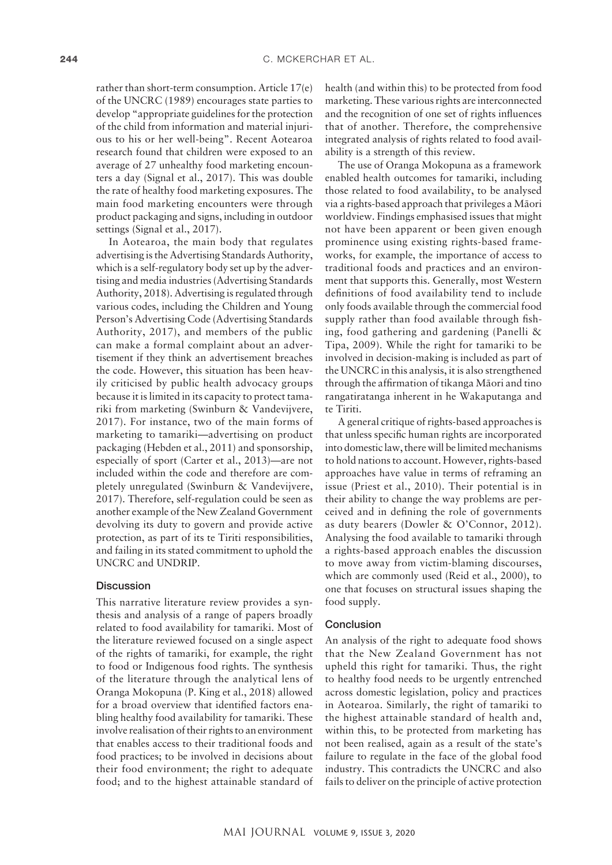rather than short-term consumption. Article 17(e) of the UNCRC (1989) encourages state parties to develop "appropriate guidelines for the protection of the child from information and material injurious to his or her well-being". Recent Aotearoa research found that children were exposed to an average of 27 unhealthy food marketing encounters a day (Signal et al., 2017). This was double the rate of healthy food marketing exposures. The main food marketing encounters were through product packaging and signs, including in outdoor settings (Signal et al., 2017).

In Aotearoa, the main body that regulates advertising is the Advertising Standards Authority, which is a self-regulatory body set up by the advertising and media industries (Advertising Standards Authority, 2018). Advertising is regulated through various codes, including the Children and Young Person's Advertising Code (Advertising Standards Authority, 2017), and members of the public can make a formal complaint about an advertisement if they think an advertisement breaches the code. However, this situation has been heavily criticised by public health advocacy groups because it is limited in its capacity to protect tamariki from marketing (Swinburn & Vandevijvere, 2017). For instance, two of the main forms of marketing to tamariki—advertising on product packaging (Hebden et al., 2011) and sponsorship, especially of sport (Carter et al., 2013)—are not included within the code and therefore are completely unregulated (Swinburn & Vandevijvere, 2017). Therefore, self-regulation could be seen as another example of the New Zealand Government devolving its duty to govern and provide active protection, as part of its te Tiriti responsibilities, and failing in its stated commitment to uphold the UNCRC and UNDRIP.

# **Discussion**

This narrative literature review provides a synthesis and analysis of a range of papers broadly related to food availability for tamariki. Most of the literature reviewed focused on a single aspect of the rights of tamariki, for example, the right to food or Indigenous food rights. The synthesis of the literature through the analytical lens of Oranga Mokopuna (P. King et al., 2018) allowed for a broad overview that identified factors enabling healthy food availability for tamariki. These involve realisation of their rights to an environment that enables access to their traditional foods and food practices; to be involved in decisions about their food environment; the right to adequate food; and to the highest attainable standard of

health (and within this) to be protected from food marketing. These various rights are interconnected and the recognition of one set of rights influences that of another. Therefore, the comprehensive integrated analysis of rights related to food availability is a strength of this review.

The use of Oranga Mokopuna as a framework enabled health outcomes for tamariki, including those related to food availability, to be analysed via a rights-based approach that privileges a Mäori worldview. Findings emphasised issues that might not have been apparent or been given enough prominence using existing rights-based frameworks, for example, the importance of access to traditional foods and practices and an environment that supports this. Generally, most Western definitions of food availability tend to include only foods available through the commercial food supply rather than food available through fishing, food gathering and gardening (Panelli & Tipa, 2009). While the right for tamariki to be involved in decision-making is included as part of the UNCRC in this analysis, it is also strengthened through the affirmation of tikanga Mäori and tino rangatiratanga inherent in he Wakaputanga and te Tiriti.

A general critique of rights-based approaches is that unless specific human rights are incorporated into domestic law, there will be limited mechanisms to hold nations to account. However, rights-based approaches have value in terms of reframing an issue (Priest et al., 2010). Their potential is in their ability to change the way problems are perceived and in defining the role of governments as duty bearers (Dowler & O'Connor, 2012). Analysing the food available to tamariki through a rights-based approach enables the discussion to move away from victim-blaming discourses, which are commonly used (Reid et al., 2000), to one that focuses on structural issues shaping the food supply.

#### Conclusion

An analysis of the right to adequate food shows that the New Zealand Government has not upheld this right for tamariki. Thus, the right to healthy food needs to be urgently entrenched across domestic legislation, policy and practices in Aotearoa. Similarly, the right of tamariki to the highest attainable standard of health and, within this, to be protected from marketing has not been realised, again as a result of the state's failure to regulate in the face of the global food industry. This contradicts the UNCRC and also fails to deliver on the principle of active protection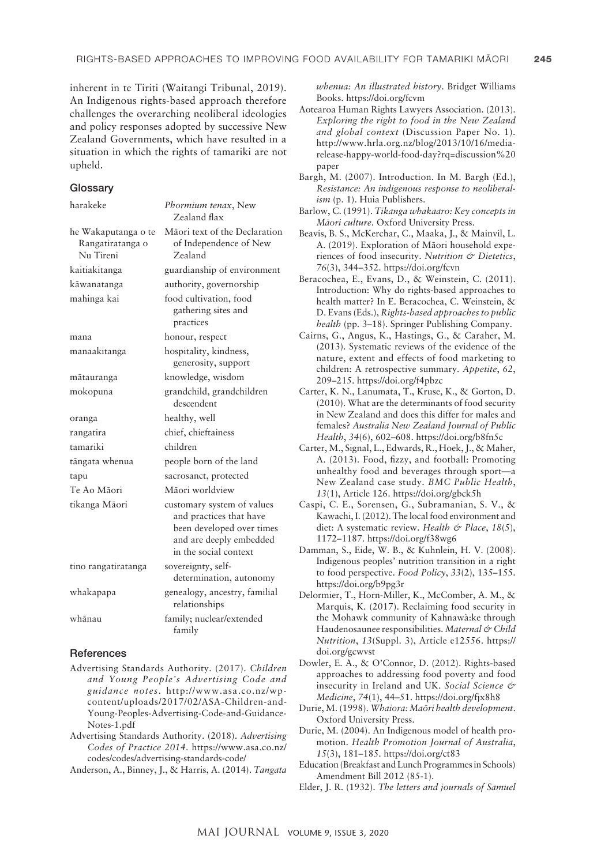inherent in te Tiriti (Waitangi Tribunal, 2019). An Indigenous rights-based approach therefore challenges the overarching neoliberal ideologies and policy responses adopted by successive New Zealand Governments, which have resulted in a situation in which the rights of tamariki are not upheld.

#### **Glossary**

| harakeke                                             | Phormium tenax, New<br>Zealand flax                                                                                                    |
|------------------------------------------------------|----------------------------------------------------------------------------------------------------------------------------------------|
| he Wakaputanga o te<br>Rangatiratanga o<br>Nu Tireni | Māori text of the Declaration<br>of Independence of New<br>Zealand                                                                     |
| kaitiakitanga                                        | guardianship of environment                                                                                                            |
| kāwanatanga                                          | authority, governorship                                                                                                                |
| mahinga kai                                          | food cultivation, food<br>gathering sites and<br>practices                                                                             |
| mana                                                 | honour, respect                                                                                                                        |
| manaakitanga                                         | hospitality, kindness,<br>generosity, support                                                                                          |
| mātauranga                                           | knowledge, wisdom                                                                                                                      |
| mokopuna                                             | grandchild, grandchildren<br>descendent                                                                                                |
| oranga                                               | healthy, well                                                                                                                          |
| rangatira                                            | chief, chieftainess                                                                                                                    |
| tamariki                                             | children                                                                                                                               |
| tāngata whenua                                       | people born of the land                                                                                                                |
| tapu                                                 | sacrosanct, protected                                                                                                                  |
| Te Ao Māori                                          | Māori worldview                                                                                                                        |
| tikanga Māori                                        | customary system of values<br>and practices that have<br>been developed over times<br>and are deeply embedded<br>in the social context |
| tino rangatiratanga                                  | sovereignty, self-<br>determination, autonomy                                                                                          |
| whakapapa                                            | genealogy, ancestry, familial<br>relationships                                                                                         |
| whānau                                               | family; nuclear/extended<br>family                                                                                                     |

#### **References**

- Advertising Standards Authority. (2017). *Children and Young People's Advertising Code and guidance notes*. [http://www.asa.co.nz/wp](http://www.asa.co.nz/wp-content/uploads/2017/02/ASA-Children-and-Young-Peoples-Advertising-Code-and-Guidance-Notes-1.pdf)[content/uploads/2017/02/ASA-Children-and-](http://www.asa.co.nz/wp-content/uploads/2017/02/ASA-Children-and-Young-Peoples-Advertising-Code-and-Guidance-Notes-1.pdf)[Young-Peoples-Advertising-Code-and-Guidance-](http://www.asa.co.nz/wp-content/uploads/2017/02/ASA-Children-and-Young-Peoples-Advertising-Code-and-Guidance-Notes-1.pdf)[Notes-1.pdf](http://www.asa.co.nz/wp-content/uploads/2017/02/ASA-Children-and-Young-Peoples-Advertising-Code-and-Guidance-Notes-1.pdf)
- Advertising Standards Authority. (2018). *Advertising Codes of Practice 2014*. [https://www.asa.co.nz/](https://www.asa.co.nz/codes/codes/advertising-standards-code/) [codes/codes/advertising-standards-code/](https://www.asa.co.nz/codes/codes/advertising-standards-code/)

Anderson, A., Binney, J., & Harris, A. (2014). *Tangata* 

*whenua: An illustrated history*. Bridget Williams Books. <https://doi.org/fcvm>

- Aotearoa Human Rights Lawyers Association. (2013). *Exploring the right to food in the New Zealand and global context* (Discussion Paper No. 1). [http://www.hrla.org.nz/blog/2013/10/16/media](http://www.hrla.org.nz/blog/2013/10/16/media-release-happy-world-food-day?rq=discussion%20paper)[release-happy-world-food-day?rq=discussion%20](http://www.hrla.org.nz/blog/2013/10/16/media-release-happy-world-food-day?rq=discussion%20paper) [paper](http://www.hrla.org.nz/blog/2013/10/16/media-release-happy-world-food-day?rq=discussion%20paper)
- Bargh, M. (2007). Introduction. In M. Bargh (Ed.), *Resistance: An indigenous response to neoliberalism* (p. 1). Huia Publishers.
- Barlow, C. (1991). *Tikanga whakaaro: Key concepts in Mäori culture*. Oxford University Press.
- Beavis, B. S., McKerchar, C., Maaka, J., & Mainvil, L. A. (2019). Exploration of Mäori household experiences of food insecurity. *Nutrition & Dietetics*, *76*(3), 344–352.<https://doi.org/fcvn>
- Beracochea, E., Evans, D., & Weinstein, C. (2011). Introduction: Why do rights-based approaches to health matter? In E. Beracochea, C. Weinstein, & D. Evans (Eds.), *Rights-based approaches to public health* (pp. 3–18). Springer Publishing Company.
- Cairns, G., Angus, K., Hastings, G., & Caraher, M. (2013). Systematic reviews of the evidence of the nature, extent and effects of food marketing to children: A retrospective summary. *Appetite*, *62*, 209–215.<https://doi.org/f4pbzc>
- Carter, K. N., Lanumata, T., Kruse, K., & Gorton, D. (2010). What are the determinants of food security in New Zealand and does this differ for males and females? *Australia New Zealand Journal of Public Health*, *34*(6), 602–608. <https://doi.org/b8fn5c>
- Carter, M., Signal, L., Edwards, R., Hoek, J., & Maher, A. (2013). Food, fizzy, and football: Promoting unhealthy food and beverages through sport—a New Zealand case study. *BMC Public Health*, *13*(1), Article 126.<https://doi.org/gbck5h>
- Caspi, C. E., Sorensen, G., Subramanian, S. V., & Kawachi, I. (2012). The local food environment and diet: A systematic review. *Health & Place*, *18*(5), 1172–1187.<https://doi.org/f38wg6>
- Damman, S., Eide, W. B., & Kuhnlein, H. V. (2008). Indigenous peoples' nutrition transition in a right to food perspective. *Food Policy*, *33*(2), 135–155. <https://doi.org/b9pg3r>
- Delormier, T., Horn-Miller, K., McComber, A. M., & Marquis, K. (2017). Reclaiming food security in the Mohawk community of Kahnawà:ke through Haudenosaunee responsibilities. *Maternal & Child Nutrition*, *13*(Suppl. 3), Article e12556. [https://](https://doi.org/gcwvst) [doi.org/gcwvst](https://doi.org/gcwvst)
- Dowler, E. A., & O'Connor, D. (2012). Rights-based approaches to addressing food poverty and food insecurity in Ireland and UK. *Social Science & Medicine*, *74*(1), 44–51. <https://doi.org/fjx8h8>
- Durie, M. (1998). *Whaiora: Maöri health development*. Oxford University Press.
- Durie, M. (2004). An Indigenous model of health promotion. *Health Promotion Journal of Australia*, *15*(3), 181–185.<https://doi.org/ct83>
- Education (Breakfast and Lunch Programmes in Schools) Amendment Bill 2012 (85-1).
- Elder, J. R. (1932). *The letters and journals of Samuel*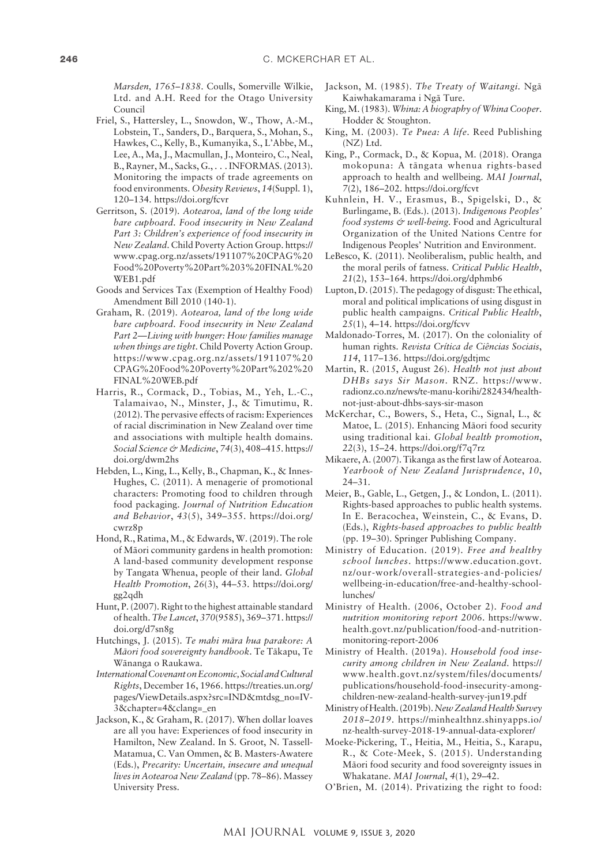*Marsden, 1765–1838*. Coulls, Somerville Wilkie, Ltd. and A.H. Reed for the Otago University Council

- Friel, S., Hattersley, L., Snowdon, W., Thow, A.-M., Lobstein, T., Sanders, D., Barquera, S., Mohan, S., Hawkes, C., Kelly, B., Kumanyika, S., L'Abbe, M., Lee, A., Ma, J., Macmullan, J., Monteiro, C., Neal, B., Rayner, M., Sacks, G., . . . INFORMAS. (2013). Monitoring the impacts of trade agreements on food environments. *Obesity Reviews*, *14*(Suppl. 1), 120–134.<https://doi.org/fcvr>
- Gerritson, S. (2019). *Aotearoa, land of the long wide bare cupboard. Food insecurity in New Zealand Part 3: Children's experience of food insecurity in New Zealand*. Child Poverty Action Group. [https://](https://www.cpag.org.nz/assets/191107%20CPAG%20Food%20Poverty%20Part%203%20FINAL%20WEB1.pdf) [www.cpag.org.nz/assets/191107%20CPAG%20](https://www.cpag.org.nz/assets/191107%20CPAG%20Food%20Poverty%20Part%203%20FINAL%20WEB1.pdf) [Food%20Poverty%20Part%203%20FINAL%20](https://www.cpag.org.nz/assets/191107%20CPAG%20Food%20Poverty%20Part%203%20FINAL%20WEB1.pdf) [WEB1.pdf](https://www.cpag.org.nz/assets/191107%20CPAG%20Food%20Poverty%20Part%203%20FINAL%20WEB1.pdf)
- Goods and Services Tax (Exemption of Healthy Food) Amendment Bill 2010 (140-1).
- Graham, R. (2019). *Aotearoa, land of the long wide bare cupboard. Food insecurity in New Zealand Part 2—Living with hunger: How families manage when things are tight*. Child Poverty Action Group. [https://www.cpag.org.nz/assets/191107%20](https://www.cpag.org.nz/assets/191107%20CPAG%20Food%20Poverty%20Part%202%20FINAL%20WEB.pdf) [CPAG%20Food%20Poverty%20Part%202%20](https://www.cpag.org.nz/assets/191107%20CPAG%20Food%20Poverty%20Part%202%20FINAL%20WEB.pdf) [FINAL%20WEB.pdf](https://www.cpag.org.nz/assets/191107%20CPAG%20Food%20Poverty%20Part%202%20FINAL%20WEB.pdf)
- Harris, R., Cormack, D., Tobias, M., Yeh, L.-C., Talamaivao, N., Minster, J., & Timutimu, R. (2012). The pervasive effects of racism: Experiences of racial discrimination in New Zealand over time and associations with multiple health domains. *Social Science & Medicine*, *74*(3), 408–415. [https://](https://doi.org/dwm2hs) [doi.org/dwm2hs](https://doi.org/dwm2hs)
- Hebden, L., King, L., Kelly, B., Chapman, K., & Innes-Hughes, C. (2011). A menagerie of promotional characters: Promoting food to children through food packaging. *Journal of Nutrition Education and Behavior*, *43*(5), 349–355. [https://doi.org/](https://doi.org/cwrz8p) [cwrz8p](https://doi.org/cwrz8p)
- Hond, R., Ratima, M., & Edwards, W. (2019). The role of Mäori community gardens in health promotion: A land-based community development response by Tangata Whenua, people of their land. *Global Health Promotion*, *26*(3), 44–53. [https://doi.org/](https://doi.org/gg2qdh) [gg2qdh](https://doi.org/gg2qdh)
- Hunt, P. (2007). Right to the highest attainable standard of health. *The Lancet*, *370*(9585), 369–371. [https://](https://doi.org/d7sn8g) [doi.org/d7sn8g](https://doi.org/d7sn8g)
- Hutchings, J. (2015). *Te mahi mära hua parakore: A Mäori food sovereignty handbook*. Te Täkapu, Te Wänanga o Raukawa.
- *International Covenant on Economic, Social and Cultural Rights*, December 16, 1966. [https://treaties.un.org/](https://treaties.un.org/pages/ViewDetails.aspx?src=IND&mtdsg_no=IV-3&chapter=4&clang=_en) [pages/ViewDetails.aspx?src=IND&mtdsg\\_no=IV-](https://treaties.un.org/pages/ViewDetails.aspx?src=IND&mtdsg_no=IV-3&chapter=4&clang=_en)[3&chapter=4&clang=\\_en](https://treaties.un.org/pages/ViewDetails.aspx?src=IND&mtdsg_no=IV-3&chapter=4&clang=_en)
- Jackson, K., & Graham, R. (2017). When dollar loaves are all you have: Experiences of food insecurity in Hamilton, New Zealand. In S. Groot, N. Tassell-Matamua, C. Van Ommen, & B. Masters-Awatere (Eds.), *Precarity: Uncertain, insecure and unequal lives in Aotearoa New Zealand* (pp. 78–86). Massey University Press.
- Jackson, M. (1985). *The Treaty of Waitangi.* Ngä Kaiwhakamarama i Ngä Ture.
- King, M. (1983). *Whina: A biography of Whina Cooper*. Hodder & Stoughton.
- King, M. (2003). *Te Puea: A life*. Reed Publishing (NZ) Ltd.
- King, P., Cormack, D., & Kopua, M. (2018). Oranga mokopuna: A tängata whenua rights-based approach to health and wellbeing. *MAI Journal*, *7*(2), 186–202. <https://doi.org/fcvt>
- Kuhnlein, H. V., Erasmus, B., Spigelski, D., & Burlingame, B. (Eds.). (2013). *Indigenous Peoples' food systems & well-being.* Food and Agricultural Organization of the United Nations Centre for Indigenous Peoples' Nutrition and Environment.
- LeBesco, K. (2011). Neoliberalism, public health, and the moral perils of fatness. *Critical Public Health*, *21*(2), 153–164. <https://doi.org/dphmb6>
- Lupton, D. (2015). The pedagogy of disgust: The ethical, moral and political implications of using disgust in public health campaigns. *Critical Public Health*, *25*(1), 4–14. <https://doi.org/fcvv>
- Maldonado-Torres, M. (2017). On the coloniality of human rights. *Revista Crítica de Ciências Sociais*, *114*, 117–136. <https://doi.org/gdtjmc>
- Martin, R. (2015, August 26). *Health not just about DHBs says Sir Mason*. RNZ. [https://www.](https://www.radionz.co.nz/news/te-manu-korihi/282434/health-not-just-about-dhbs-says-sir-mason) [radionz.co.nz/news/te-manu-korihi/282434/health](https://www.radionz.co.nz/news/te-manu-korihi/282434/health-not-just-about-dhbs-says-sir-mason)[not-just-about-dhbs-says-sir-mason](https://www.radionz.co.nz/news/te-manu-korihi/282434/health-not-just-about-dhbs-says-sir-mason)
- McKerchar, C., Bowers, S., Heta, C., Signal, L., & Matoe, L. (2015). Enhancing Mäori food security using traditional kai. *Global health promotion*, *22*(3), 15–24. <https://doi.org/f7q7rz>
- Mikaere, A. (2007). Tikanga as the first law of Aotearoa. *Yearbook of New Zealand Jurisprudence*, *10*, 24–31.
- Meier, B., Gable, L., Getgen, J., & London, L. (2011). Rights-based approaches to public health systems. In E. Beracochea, Weinstein, C., & Evans, D. (Eds.), *Rights-based approaches to public health* (pp. 19–30). Springer Publishing Company.
- Ministry of Education. (2019). *Free and healthy school lunches*. [https://www.education.govt.](https://www.education.govt.nz/our-work/overall-strategies-and-policies/wellbeing-in-education/free-and-healthy-school-lunches/) [nz/our-work/overall-strategies-and-policies/](https://www.education.govt.nz/our-work/overall-strategies-and-policies/wellbeing-in-education/free-and-healthy-school-lunches/) [wellbeing-in-education/free-and-healthy-school](https://www.education.govt.nz/our-work/overall-strategies-and-policies/wellbeing-in-education/free-and-healthy-school-lunches/)[lunches/](https://www.education.govt.nz/our-work/overall-strategies-and-policies/wellbeing-in-education/free-and-healthy-school-lunches/)
- Ministry of Health. (2006, October 2). *Food and nutrition monitoring report 2006*. [https://www.](https://www.health.govt.nz/publication/food-and-nutrition-monitoring-report-2006) [health.govt.nz/publication/food-and-nutrition](https://www.health.govt.nz/publication/food-and-nutrition-monitoring-report-2006)[monitoring-report-2006](https://www.health.govt.nz/publication/food-and-nutrition-monitoring-report-2006)
- Ministry of Health. (2019a). *Household food insecurity among children in New Zealand.* [https://](https://www.health.govt.nz/system/files/documents/publications/household-food-insecurity-among-children-new-zealand-health-survey-jun19.pdf) [www.health.govt.nz/system/files/documents/](https://www.health.govt.nz/system/files/documents/publications/household-food-insecurity-among-children-new-zealand-health-survey-jun19.pdf) [publications/household-food-insecurity-among](https://www.health.govt.nz/system/files/documents/publications/household-food-insecurity-among-children-new-zealand-health-survey-jun19.pdf)[children-new-zealand-health-survey-jun19.pdf](https://www.health.govt.nz/system/files/documents/publications/household-food-insecurity-among-children-new-zealand-health-survey-jun19.pdf)
- Ministry of Health. (2019b). *New Zealand Health Survey 2018–2019*. [https://minhealthnz.shinyapps.io/](https://minhealthnz.shinyapps.io/nz-health-survey-2018-19-annual-data-explorer/) [nz-health-survey-2018-19-annual-data-explorer/](https://minhealthnz.shinyapps.io/nz-health-survey-2018-19-annual-data-explorer/)
- Moeke-Pickering, T., Heitia, M., Heitia, S., Karapu, R., & Cote-Meek, S. (2015). Understanding Mäori food security and food sovereignty issues in Whakatane. *MAI Journal*, *4*(1), 29–42.
- O'Brien, M. (2014). Privatizing the right to food: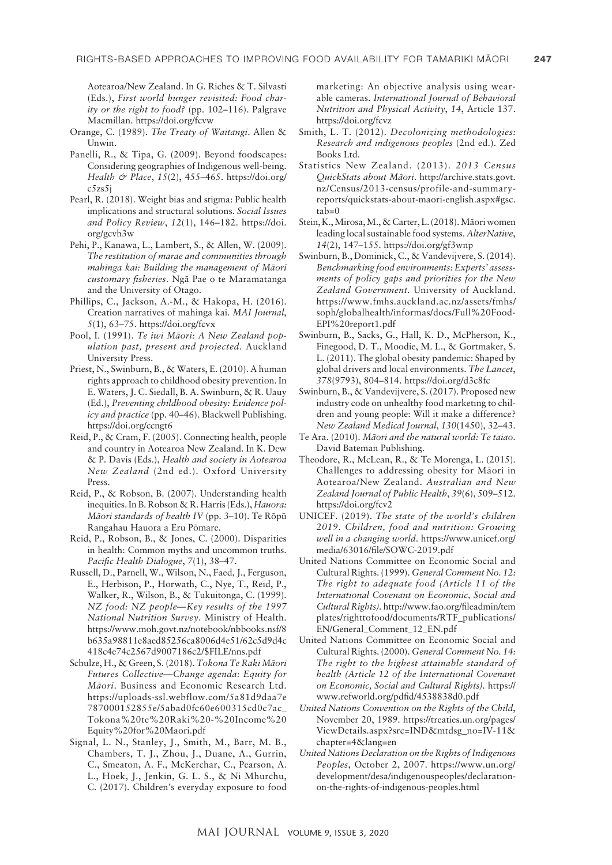Aotearoa/New Zealand. In G. Riches & T. Silvasti (Eds.), *First world hunger revisited: Food charity or the right to food?* (pp. 102–116). Palgrave Macmillan.<https://doi.org/fcvw>

- Orange, C. (1989). *The Treaty of Waitangi*. Allen & Unwin.
- Panelli, R., & Tipa, G. (2009). Beyond foodscapes: Considering geographies of Indigenous well-being. *Health & Place*, *15*(2), 455–465. [https://doi.org/](https://doi.org/c5zs5j) [c5zs5j](https://doi.org/c5zs5j)
- Pearl, R. (2018). Weight bias and stigma: Public health implications and structural solutions. *Social Issues and Policy Review*, *12*(1), 146–182. [https://doi.](https://doi.org/gcvh3w) [org/gcvh3w](https://doi.org/gcvh3w)
- Pehi, P., Kanawa, L., Lambert, S., & Allen, W. (2009). *The restitution of marae and communities through mahinga kai: Building the management of Mäori customary fisheries*. Ngä Pae o te Maramatanga and the University of Otago.
- Phillips, C., Jackson, A.-M., & Hakopa, H. (2016). Creation narratives of mahinga kai. *MAI Journal*, *5*(1), 63–75. <https://doi.org/fcvx>
- Pool, I. (1991). *Te iwi Mäori: A New Zealand population past, present and projected*. Auckland University Press.
- Priest, N., Swinburn, B., & Waters, E. (2010). A human rights approach to childhood obesity prevention. In E. Waters, J. C. Siedall, B. A. Swinburn, & R. Uauy (Ed.), *Preventing childhood obesity: Evidence policy and practice* (pp. 40–46). Blackwell Publishing. <https://doi.org/ccngt6>
- Reid, P., & Cram, F. (2005). Connecting health, people and country in Aotearoa New Zealand. In K. Dew & P. Davis (Eds.), *Health and society in Aotearoa New Zealand* (2nd ed.). Oxford University Press.
- Reid, P., & Robson, B. (2007). Understanding health inequities. In B. Robson & R. Harris (Eds.), *Hauora: Mäori standards of health IV* (pp. 3–10). Te Röpü Rangahau Hauora a Eru Pömare.
- Reid, P., Robson, B., & Jones, C. (2000). Disparities in health: Common myths and uncommon truths. *Pacific Health Dialogue*, *7*(1), 38–47.
- Russell, D., Parnell, W., Wilson, N., Faed, J., Ferguson, E., Herbison, P., Horwath, C., Nye, T., Reid, P., Walker, R., Wilson, B., & Tukuitonga, C. (1999). *NZ food: NZ people—Key results of the 1997 National Nutrition Survey*. Ministry of Health. [https://www.moh.govt.nz/notebook/nbbooks.nsf/8](https://www.moh.govt.nz/notebook/nbbooks.nsf/8b635a98811e8aed85256ca8006d4e51/62c5d9d4c418c4e74c2567d9007186c2/$FILE/nns.pdf) [b635a98811e8aed85256ca8006d4e51/62c5d9d4c](https://www.moh.govt.nz/notebook/nbbooks.nsf/8b635a98811e8aed85256ca8006d4e51/62c5d9d4c418c4e74c2567d9007186c2/$FILE/nns.pdf) [418c4e74c2567d9007186c2/\\$FILE/nns.pdf](https://www.moh.govt.nz/notebook/nbbooks.nsf/8b635a98811e8aed85256ca8006d4e51/62c5d9d4c418c4e74c2567d9007186c2/$FILE/nns.pdf)
- Schulze, H., & Green, S. (2018). *Tokona Te Raki Mäori Futures Collective—Change agenda: Equity for Mäori*. Business and Economic Research Ltd. [https://uploads-ssl.webflow.com/5a81d9daa7e](https://uploads-ssl.webflow.com/5a81d9daa7e787000152855e/5abad0fc60e600315cd0c7ac_Tokona%20te%20Raki%20-%20Income%20Equity%20for%20Maori.pdf) [787000152855e/5abad0fc60e600315cd0c7ac\\_](https://uploads-ssl.webflow.com/5a81d9daa7e787000152855e/5abad0fc60e600315cd0c7ac_Tokona%20te%20Raki%20-%20Income%20Equity%20for%20Maori.pdf) [Tokona%20te%20Raki%20-%20Income%20](https://uploads-ssl.webflow.com/5a81d9daa7e787000152855e/5abad0fc60e600315cd0c7ac_Tokona%20te%20Raki%20-%20Income%20Equity%20for%20Maori.pdf) [Equity%20for%20Maori.pdf](https://uploads-ssl.webflow.com/5a81d9daa7e787000152855e/5abad0fc60e600315cd0c7ac_Tokona%20te%20Raki%20-%20Income%20Equity%20for%20Maori.pdf)
- Signal, L. N., Stanley, J., Smith, M., Barr, M. B., Chambers, T. J., Zhou, J., Duane, A., Gurrin, C., Smeaton, A. F., McKerchar, C., Pearson, A. L., Hoek, J., Jenkin, G. L. S., & Ni Mhurchu, C. (2017). Children's everyday exposure to food

marketing: An objective analysis using wearable cameras. *International Journal of Behavioral Nutrition and Physical Activity*, *14*, Article 137. <https://doi.org/fcvz>

- Smith, L. T. (2012). *Decolonizing methodologies: Research and indigenous peoples* (2nd ed.). Zed Books Ltd.
- Statistics New Zealand. (2013). *2013 Census QuickStats about Mäori*. [http://archive.stats.govt.](http://archive.stats.govt.nz/Census/2013-census/profile-and-summary-reports/quickstats-about-maori-english.aspx#gsc.tab=0) [nz/Census/2013-census/profile-and-summary](http://archive.stats.govt.nz/Census/2013-census/profile-and-summary-reports/quickstats-about-maori-english.aspx#gsc.tab=0)[reports/quickstats-about-maori-english.aspx#gsc.](http://archive.stats.govt.nz/Census/2013-census/profile-and-summary-reports/quickstats-about-maori-english.aspx#gsc.tab=0)  $tab=0$
- Stein, K., Mirosa, M., & Carter, L. (2018). Mäori women leading local sustainable food systems. *AlterNative*, *14*(2), 147–155.<https://doi.org/gf3wnp>
- Swinburn, B., Dominick, C., & Vandevijvere, S. (2014). *Benchmarking food environments: Experts' assessments of policy gaps and priorities for the New Zealand Government.* University of Auckland. [https://www.fmhs.auckland.ac.nz/assets/fmhs/](https://www.fmhs.auckland.ac.nz/assets/fmhs/soph/globalhealth/informas/docs/Full%20Food-EPI%20report1.pdf) [soph/globalhealth/informas/docs/Full%20Food-](https://www.fmhs.auckland.ac.nz/assets/fmhs/soph/globalhealth/informas/docs/Full%20Food-EPI%20report1.pdf)[EPI%20report1.pdf](https://www.fmhs.auckland.ac.nz/assets/fmhs/soph/globalhealth/informas/docs/Full%20Food-EPI%20report1.pdf)
- Swinburn, B., Sacks, G., Hall, K. D., McPherson, K., Finegood, D. T., Moodie, M. L., & Gortmaker, S. L. (2011). The global obesity pandemic: Shaped by global drivers and local environments. *The Lancet*, *378*(9793), 804–814.<https://doi.org/d3c8fc>
- Swinburn, B., & Vandevijvere, S. (2017). Proposed new industry code on unhealthy food marketing to children and young people: Will it make a difference? *New Zealand Medical Journal*, *130*(1450), 32–43.
- Te Ara. (2010). *Mäori and the natural world: Te taiao*. David Bateman Publishing.
- Theodore, R., McLean, R., & Te Morenga, L. (2015). Challenges to addressing obesity for Mäori in Aotearoa/New Zealand. *Australian and New Zealand Journal of Public Health*, *39*(6), 509–512. <https://doi.org/fcv2>
- UNICEF. (2019). *The state of the world's children 2019. Children, food and nutrition: Growing well in a changing world*. [https://www.unicef.org/](https://www.unicef.org/media/63016/file/SOWC-2019.pdf) [media/63016/file/SOWC-2019.pdf](https://www.unicef.org/media/63016/file/SOWC-2019.pdf)
- United Nations Committee on Economic Social and Cultural Rights. (1999). *General Comment No. 12: The right to adequate food (Article 11 of the International Covenant on Economic, Social and Cultural Rights).* [http://www.fao.org/fileadmin/tem](http://www.fao.org/fileadmin/templates/righttofood/documents/RTF_publications/EN/General_Comment_12_EN.pdf) [plates/righttofood/documents/RTF\\_publications/](http://www.fao.org/fileadmin/templates/righttofood/documents/RTF_publications/EN/General_Comment_12_EN.pdf) [EN/General\\_Comment\\_12\\_EN.pdf](http://www.fao.org/fileadmin/templates/righttofood/documents/RTF_publications/EN/General_Comment_12_EN.pdf)
- United Nations Committee on Economic Social and Cultural Rights. (2000). *General Comment No. 14: The right to the highest attainable standard of health (Article 12 of the International Covenant on Economic, Social and Cultural Rights).* [https://](https://www.refworld.org/pdfid/4538838d0.pdf) [www.refworld.org/pdfid/4538838d0.pdf](https://www.refworld.org/pdfid/4538838d0.pdf)
- *United Nations Convention on the Rights of the Child*, November 20, 1989. [https://treaties.un.org/pages/](https://treaties.un.org/pages/ViewDetails.aspx?src=IND&mtdsg_no=IV-11&chapter=4&lang=en) [ViewDetails.aspx?src=IND&mtdsg\\_no=IV-11&](https://treaties.un.org/pages/ViewDetails.aspx?src=IND&mtdsg_no=IV-11&chapter=4&lang=en) [chapter=4&lang=en](https://treaties.un.org/pages/ViewDetails.aspx?src=IND&mtdsg_no=IV-11&chapter=4&lang=en)
- *United Nations Declaration on the Rights of Indigenous Peoples*, October 2, 2007. [https://www.un.org/](https://www.un.org/development/desa/indigenouspeoples/declaration-on-the-rights-of-indigenous-peoples.html) [development/desa/indigenouspeoples/declaration](https://www.un.org/development/desa/indigenouspeoples/declaration-on-the-rights-of-indigenous-peoples.html)[on-the-rights-of-indigenous-peoples.html](https://www.un.org/development/desa/indigenouspeoples/declaration-on-the-rights-of-indigenous-peoples.html)